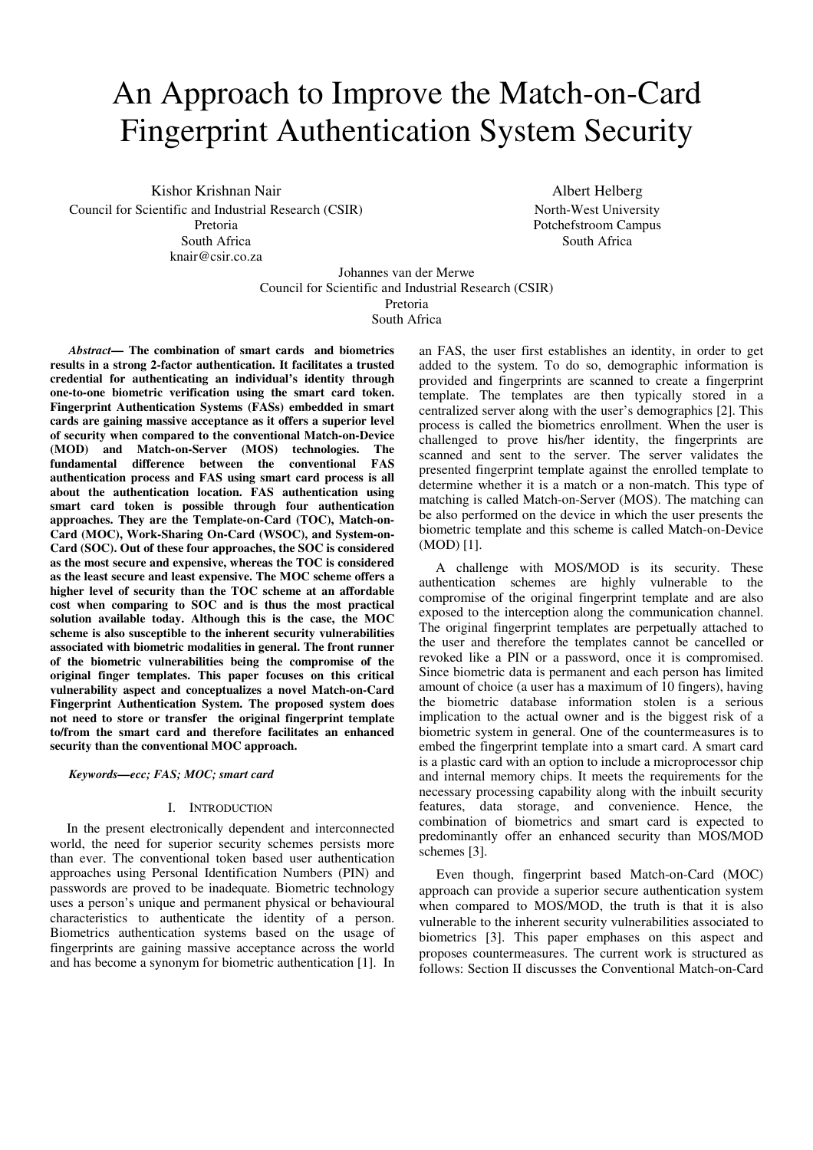# An Approach to Improve the Match-on-Card Fingerprint Authentication System Security

Kishor Krishnan Nair Council for Scientific and Industrial Research (CSIR) Pretoria South Africa knair@csir.co.za

Albert Helberg North-West University Potchefstroom Campus South Africa

Johannes van der Merwe Council for Scientific and Industrial Research (CSIR) Pretoria South Africa

*Abstract***— The combination of smart cards and biometrics results in a strong 2-factor authentication. It facilitates a trusted credential for authenticating an individual's identity through one-to-one biometric verification using the smart card token. Fingerprint Authentication Systems (FASs) embedded in smart cards are gaining massive acceptance as it offers a superior level of security when compared to the conventional Match-on-Device (MOD) and Match-on-Server (MOS) technologies. The fundamental difference between the conventional FAS authentication process and FAS using smart card process is all about the authentication location. FAS authentication using smart card token is possible through four authentication approaches. They are the Template-on-Card (TOC), Match-on-Card (MOC), Work-Sharing On-Card (WSOC), and System-on-Card (SOC). Out of these four approaches, the SOC is considered as the most secure and expensive, whereas the TOC is considered as the least secure and least expensive. The MOC scheme offers a higher level of security than the TOC scheme at an affordable cost when comparing to SOC and is thus the most practical solution available today. Although this is the case, the MOC scheme is also susceptible to the inherent security vulnerabilities associated with biometric modalities in general. The front runner of the biometric vulnerabilities being the compromise of the original finger templates. This paper focuses on this critical vulnerability aspect and conceptualizes a novel Match-on-Card Fingerprint Authentication System. The proposed system does not need to store or transfer the original fingerprint template to/from the smart card and therefore facilitates an enhanced security than the conventional MOC approach.** 

#### *Keywords—ecc; FAS; MOC; smart card*

#### I. INTRODUCTION

 In the present electronically dependent and interconnected world, the need for superior security schemes persists more than ever. The conventional token based user authentication approaches using Personal Identification Numbers (PIN) and passwords are proved to be inadequate. Biometric technology uses a person's unique and permanent physical or behavioural characteristics to authenticate the identity of a person. Biometrics authentication systems based on the usage of fingerprints are gaining massive acceptance across the world and has become a synonym for biometric authentication [1]. In an FAS, the user first establishes an identity, in order to get added to the system. To do so, demographic information is provided and fingerprints are scanned to create a fingerprint template. The templates are then typically stored in a centralized server along with the user's demographics [2]. This process is called the biometrics enrollment. When the user is challenged to prove his/her identity, the fingerprints are scanned and sent to the server. The server validates the presented fingerprint template against the enrolled template to determine whether it is a match or a non-match. This type of matching is called Match-on-Server (MOS). The matching can be also performed on the device in which the user presents the biometric template and this scheme is called Match-on-Device (MOD) [1].

 A challenge with MOS/MOD is its security. These authentication schemes are highly vulnerable to the compromise of the original fingerprint template and are also exposed to the interception along the communication channel. The original fingerprint templates are perpetually attached to the user and therefore the templates cannot be cancelled or revoked like a PIN or a password, once it is compromised. Since biometric data is permanent and each person has limited amount of choice (a user has a maximum of 10 fingers), having the biometric database information stolen is a serious implication to the actual owner and is the biggest risk of a biometric system in general. One of the countermeasures is to embed the fingerprint template into a smart card. A smart card is a plastic card with an option to include a microprocessor chip and internal memory chips. It meets the requirements for the necessary processing capability along with the inbuilt security features, data storage, and convenience. Hence, the combination of biometrics and smart card is expected to predominantly offer an enhanced security than MOS/MOD schemes [3].

 Even though, fingerprint based Match-on-Card (MOC) approach can provide a superior secure authentication system when compared to MOS/MOD, the truth is that it is also vulnerable to the inherent security vulnerabilities associated to biometrics [3]. This paper emphases on this aspect and proposes countermeasures. The current work is structured as follows: Section II discusses the Conventional Match-on-Card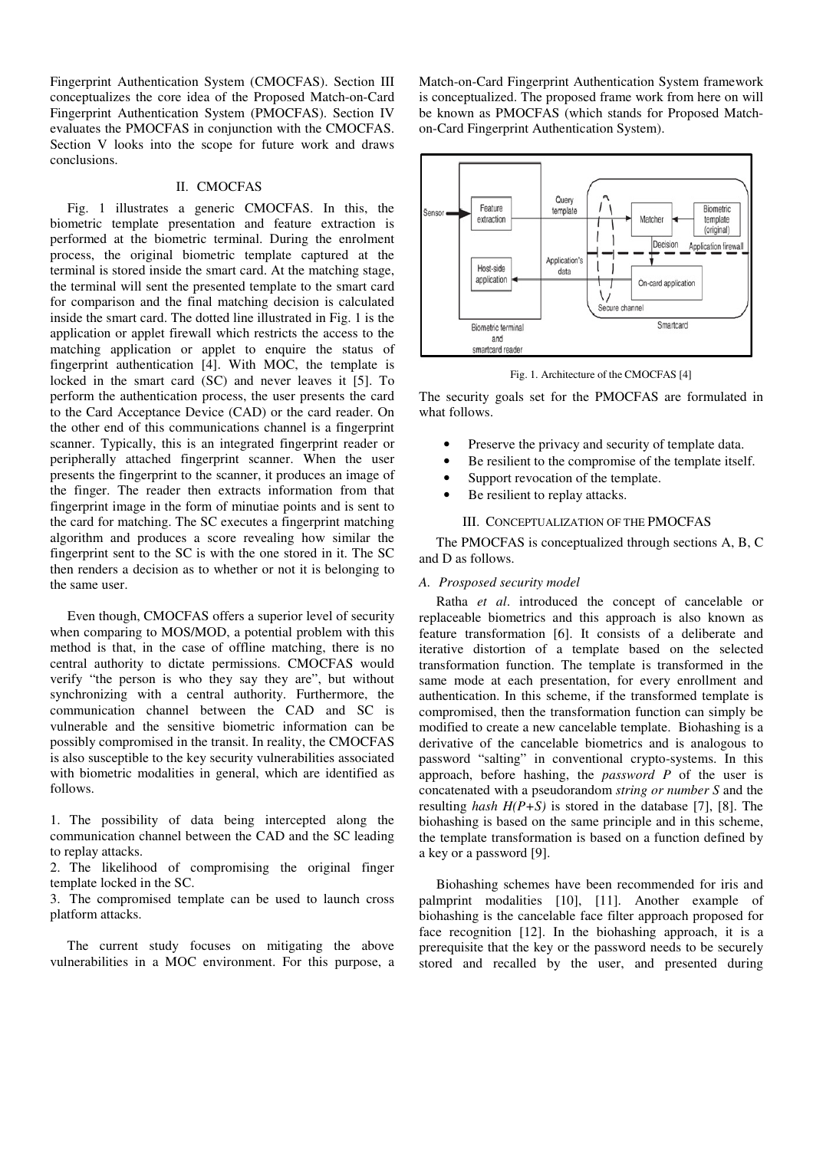Fingerprint Authentication System (CMOCFAS). Section III conceptualizes the core idea of the Proposed Match-on-Card Fingerprint Authentication System (PMOCFAS). Section IV evaluates the PMOCFAS in conjunction with the CMOCFAS. Section V looks into the scope for future work and draws conclusions.

## II. CMOCFAS

 Fig. 1 illustrates a generic CMOCFAS. In this, the biometric template presentation and feature extraction is performed at the biometric terminal. During the enrolment process, the original biometric template captured at the terminal is stored inside the smart card. At the matching stage, the terminal will sent the presented template to the smart card for comparison and the final matching decision is calculated inside the smart card. The dotted line illustrated in Fig. 1 is the application or applet firewall which restricts the access to the matching application or applet to enquire the status of fingerprint authentication [4]. With MOC, the template is locked in the smart card (SC) and never leaves it [5]. To perform the authentication process, the user presents the card to the Card Acceptance Device (CAD) or the card reader. On the other end of this communications channel is a fingerprint scanner. Typically, this is an integrated fingerprint reader or peripherally attached fingerprint scanner. When the user presents the fingerprint to the scanner, it produces an image of the finger. The reader then extracts information from that fingerprint image in the form of minutiae points and is sent to the card for matching. The SC executes a fingerprint matching algorithm and produces a score revealing how similar the fingerprint sent to the SC is with the one stored in it. The SC then renders a decision as to whether or not it is belonging to the same user.

 Even though, CMOCFAS offers a superior level of security when comparing to MOS/MOD, a potential problem with this method is that, in the case of offline matching, there is no central authority to dictate permissions. CMOCFAS would verify "the person is who they say they are", but without synchronizing with a central authority. Furthermore, the communication channel between the CAD and SC is vulnerable and the sensitive biometric information can be possibly compromised in the transit. In reality, the CMOCFAS is also susceptible to the key security vulnerabilities associated with biometric modalities in general, which are identified as follows.

1. The possibility of data being intercepted along the communication channel between the CAD and the SC leading to replay attacks.

2. The likelihood of compromising the original finger template locked in the SC.

3. The compromised template can be used to launch cross platform attacks.

 The current study focuses on mitigating the above vulnerabilities in a MOC environment. For this purpose, a Match-on-Card Fingerprint Authentication System framework is conceptualized. The proposed frame work from here on will be known as PMOCFAS (which stands for Proposed Matchon-Card Fingerprint Authentication System).



Fig. 1. Architecture of the CMOCFAS [4]

The security goals set for the PMOCFAS are formulated in what follows.

- Preserve the privacy and security of template data.
- Be resilient to the compromise of the template itself.
- Support revocation of the template.
- Be resilient to replay attacks.

# III. CONCEPTUALIZATION OF THE PMOCFAS

 The PMOCFAS is conceptualized through sections A, B, C and D as follows.

## *A. Prosposed security model*

 Ratha *et al*. introduced the concept of cancelable or replaceable biometrics and this approach is also known as feature transformation [6]. It consists of a deliberate and iterative distortion of a template based on the selected transformation function. The template is transformed in the same mode at each presentation, for every enrollment and authentication. In this scheme, if the transformed template is compromised, then the transformation function can simply be modified to create a new cancelable template. Biohashing is a derivative of the cancelable biometrics and is analogous to password "salting" in conventional crypto-systems. In this approach, before hashing, the *password P* of the user is concatenated with a pseudorandom *string or number S* and the resulting *hash*  $H(P+S)$  is stored in the database [7], [8]. The biohashing is based on the same principle and in this scheme, the template transformation is based on a function defined by a key or a password [9].

 Biohashing schemes have been recommended for iris and palmprint modalities [10], [11]. Another example of biohashing is the cancelable face filter approach proposed for face recognition [12]. In the biohashing approach, it is a prerequisite that the key or the password needs to be securely stored and recalled by the user, and presented during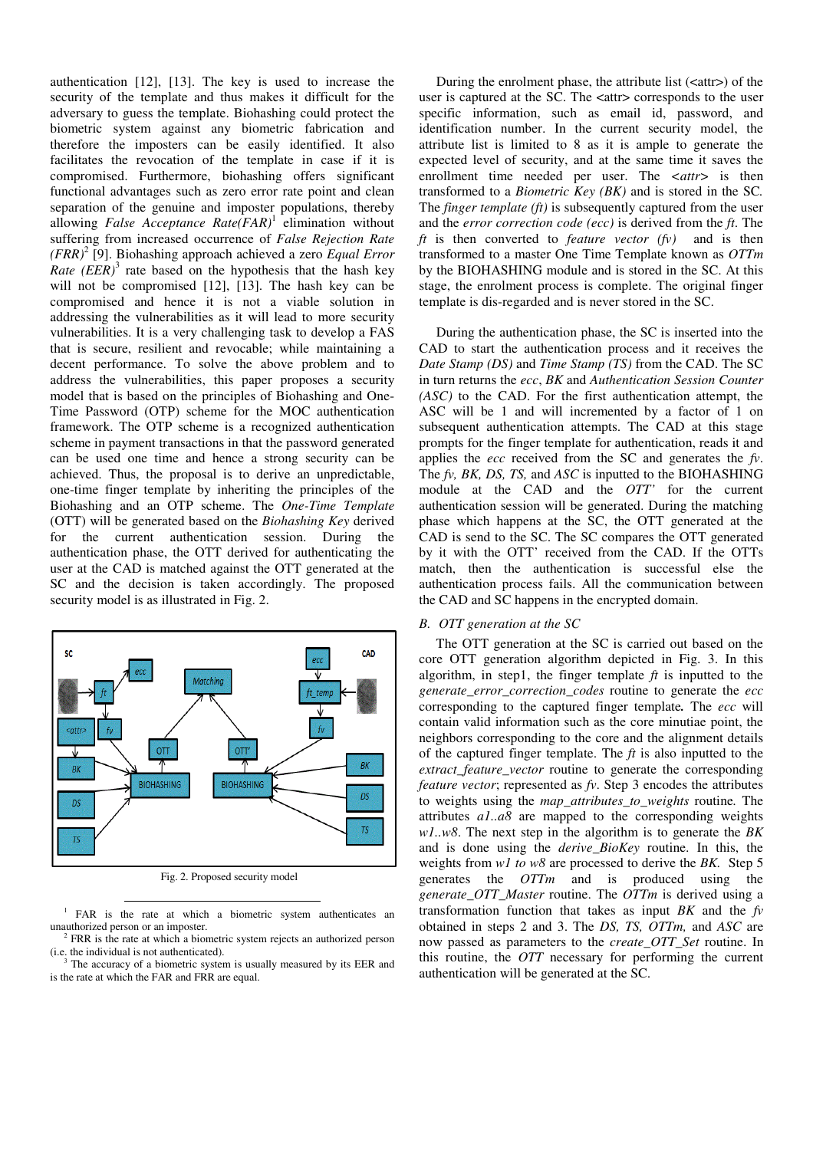authentication [12], [13]. The key is used to increase the security of the template and thus makes it difficult for the adversary to guess the template. Biohashing could protect the biometric system against any biometric fabrication and therefore the imposters can be easily identified. It also facilitates the revocation of the template in case if it is compromised. Furthermore, biohashing offers significant functional advantages such as zero error rate point and clean separation of the genuine and imposter populations, thereby allowing *False Acceptance Rate*(*FAR*)<sup>1</sup> elimination without suffering from increased occurrence of *False Rejection Rate (FRR)*<sup>2</sup> [9]. Biohashing approach achieved a zero *Equal Error Rate*  $(EER)^3$  rate based on the hypothesis that the hash key will not be compromised [12], [13]. The hash key can be compromised and hence it is not a viable solution in addressing the vulnerabilities as it will lead to more security vulnerabilities. It is a very challenging task to develop a FAS that is secure, resilient and revocable; while maintaining a decent performance. To solve the above problem and to address the vulnerabilities, this paper proposes a security model that is based on the principles of Biohashing and One-Time Password (OTP) scheme for the MOC authentication framework. The OTP scheme is a recognized authentication scheme in payment transactions in that the password generated can be used one time and hence a strong security can be achieved. Thus, the proposal is to derive an unpredictable, one-time finger template by inheriting the principles of the Biohashing and an OTP scheme. The *One-Time Template* (OTT) will be generated based on the *Biohashing Key* derived for the current authentication session. During the authentication phase, the OTT derived for authenticating the user at the CAD is matched against the OTT generated at the SC and the decision is taken accordingly. The proposed security model is as illustrated in Fig. 2.



Fig. 2. Proposed security model

1

During the enrolment phase, the attribute list (<attr>) of the user is captured at the SC. The <attr> corresponds to the user specific information, such as email id, password, and identification number. In the current security model, the attribute list is limited to 8 as it is ample to generate the expected level of security, and at the same time it saves the enrollment time needed per user. The *<attr>* is then transformed to a *Biometric Key (BK)* and is stored in the SC*.* The *finger template (ft)* is subsequently captured from the user and the *error correction code (ecc)* is derived from the *ft*. The *ft* is then converted to *feature vector (fv)* and is then transformed to a master One Time Template known as *OTTm* by the BIOHASHING module and is stored in the SC. At this stage, the enrolment process is complete. The original finger template is dis-regarded and is never stored in the SC.

 During the authentication phase, the SC is inserted into the CAD to start the authentication process and it receives the *Date Stamp (DS)* and *Time Stamp (TS)* from the CAD. The SC in turn returns the *ecc*, *BK* and *Authentication Session Counter (ASC)* to the CAD. For the first authentication attempt, the ASC will be 1 and will incremented by a factor of 1 on subsequent authentication attempts. The CAD at this stage prompts for the finger template for authentication, reads it and applies the *ecc* received from the SC and generates the *fv*. The *fv, BK, DS, TS,* and *ASC* is inputted to the BIOHASHING module at the CAD and the *OTT'* for the current authentication session will be generated. During the matching phase which happens at the SC, the OTT generated at the CAD is send to the SC. The SC compares the OTT generated by it with the OTT' received from the CAD. If the OTTs match, then the authentication is successful else the authentication process fails. All the communication between the CAD and SC happens in the encrypted domain.

#### *B. OTT generation at the SC*

 The OTT generation at the SC is carried out based on the core OTT generation algorithm depicted in Fig. 3. In this algorithm, in step1, the finger template  $ft$  is inputted to the *generate\_error\_correction\_codes* routine to generate the *ecc* corresponding to the captured finger template*.* The *ecc* will contain valid information such as the core minutiae point, the neighbors corresponding to the core and the alignment details of the captured finger template. The *ft* is also inputted to the *extract\_feature\_vector* routine to generate the corresponding *feature vector*; represented as *fv*. Step 3 encodes the attributes to weights using the *map\_attributes\_to\_weights* routine*.* The attributes *a1..a8* are mapped to the corresponding weights *w1..w8*. The next step in the algorithm is to generate the *BK* and is done using the *derive\_BioKey* routine. In this, the weights from *w1 to w8* are processed to derive the *BK.* Step 5 generates the *OTTm* and is produced using the *generate\_OTT\_Master* routine. The *OTTm* is derived using a transformation function that takes as input *BK* and the *fv* obtained in steps 2 and 3. The *DS, TS, OTTm,* and *ASC* are now passed as parameters to the *create\_OTT\_Set* routine. In this routine, the *OTT* necessary for performing the current authentication will be generated at the SC.

<sup>&</sup>lt;sup>1</sup> FAR is the rate at which a biometric system authenticates an unauthorized person or an imposter.

 $2$  FRR is the rate at which a biometric system rejects an authorized person (i.e. the individual is not authenticated).

<sup>&</sup>lt;sup>3</sup> The accuracy of a biometric system is usually measured by its EER and is the rate at which the FAR and FRR are equal.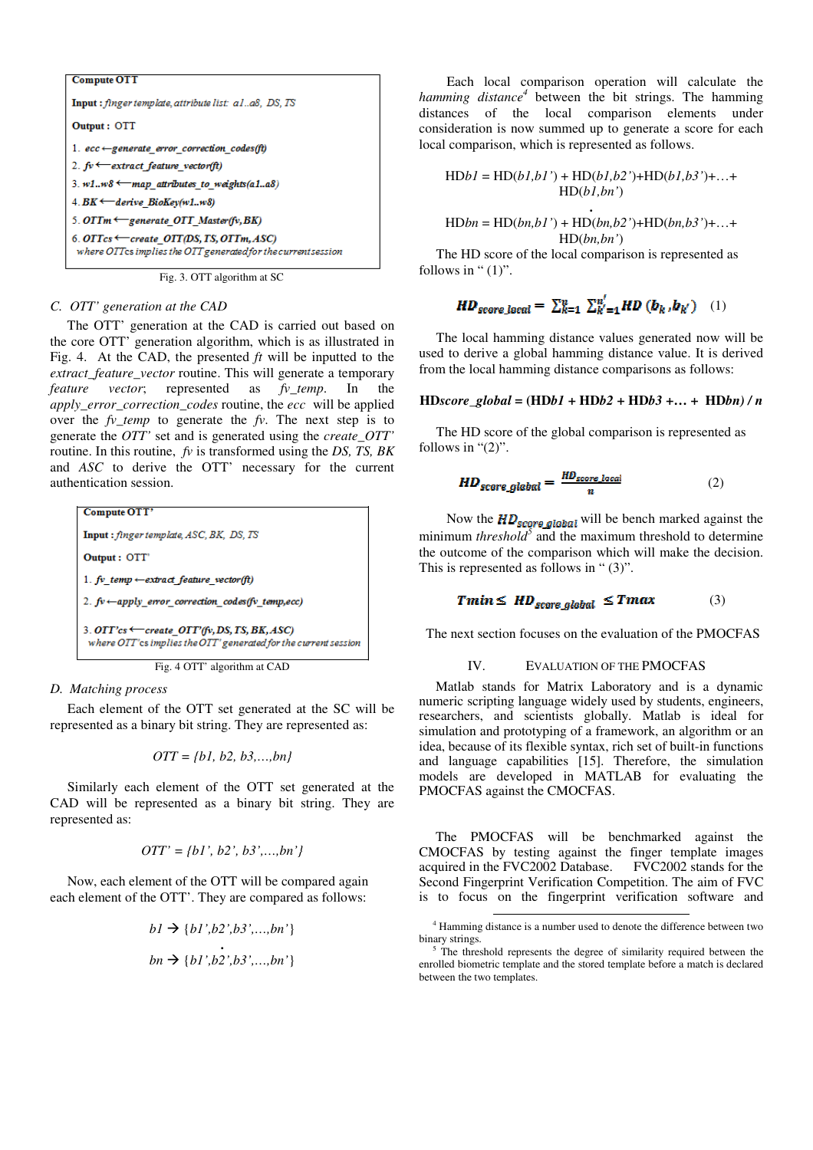## **Compute OTT**

| Input : finger template, attribute list: al., a8, DS, TS                                                                 |
|--------------------------------------------------------------------------------------------------------------------------|
| Output: OTT                                                                                                              |
| 1. ecc $\leftarrow$ generate error correction codes(ft)                                                                  |
| 2. $fv \longleftarrow$ extract feature vector(ft)                                                                        |
| 3. w1w8 $\leftarrow$ map attributes to weights(a1a8)                                                                     |
| $4. BK \longleftarrow$ derive BioKey(w1w8)                                                                               |
| 5. $OTTm \longleftarrow$ generate OTT Master(fv, BK)                                                                     |
| 6. $OTTcs \longleftarrow create OTT(DS, TS, OTTm, ASC)$<br>where OTTcs implies the OTT generated for the current session |

Fig. 3. OTT algorithm at SC

#### *C. OTT' generation at the CAD*

 The OTT' generation at the CAD is carried out based on the core OTT' generation algorithm, which is as illustrated in Fig. 4. At the CAD, the presented *ft* will be inputted to the *extract\_feature\_vector* routine. This will generate a temporary *feature vector*; represented as *fv\_temp*. In the *apply\_error\_correction\_codes* routine, the *ecc* will be applied over the *fv\_temp* to generate the *fv*. The next step is to generate the *OTT'* set and is generated using the *create\_OTT'* routine. In this routine, *fv* is transformed using the *DS, TS, BK*  and *ASC* to derive the OTT' necessary for the current authentication session.



#### *D. Matching process*

 Each element of the OTT set generated at the SC will be represented as a binary bit string. They are represented as:

$$
OTT = \{b1, b2, b3, \ldots, bn\}
$$

 Similarly each element of the OTT set generated at the CAD will be represented as a binary bit string. They are represented as:

$$
OTT' = \{b1', b2', b3', \dots, bn'\}
$$

 Now, each element of the OTT will be compared again each element of the OTT'. They are compared as follows:

$$
b1 \to \{b1', b2', b3', ..., bn'\}
$$
  

$$
bn \to \{b1', b2', b3', ..., bn'\}
$$

 Each local comparison operation will calculate the *hamming distance<sup>4</sup>* between the bit strings. The hamming distances of the local comparison elements under consideration is now summed up to generate a score for each local comparison, which is represented as follows.

$$
HDb1 = HD(b1, b1') + HD(b1, b2') + HD(b1, b3') + ... +
$$

$$
HD(b1, bn')
$$

$$
H Dbn = HD(bn, b1') + HD(bn, b2') + HD(bn, b3') + ... +
$$

$$
HD(bn, bn')
$$

 The HD score of the local comparison is represented as follows in " $(1)$ ".

$$
HD_{score\_local} = \sum_{k=1}^{n} \sum_{k'=1}^{n'} HD\left(b_k, b_{k'}\right) \quad (1)
$$

 The local hamming distance values generated now will be used to derive a global hamming distance value. It is derived from the local hamming distance comparisons as follows:

## **HD***score\_global* **= (HD***b1* **+ HD***b2* **+ HD***b3* **+… + HD***bn) / n*

 The HD score of the global comparison is represented as follows in "(2)".

$$
HD_{score\_global} = \frac{HD_{score\_local}}{n} \tag{2}
$$

Now the  $HD_{\text{score\_global}}$  will be bench marked against the minimum *threshold*<sup>5</sup> and the maximum threshold to determine the outcome of the comparison which will make the decision. This is represented as follows in "(3)".

## **T**min  $\leq$  **HD**<sub>score alobal  $\leq$  **T**max (3)</sub>

The next section focuses on the evaluation of the PMOCFAS

## IV. EVALUATION OF THE PMOCFAS

 Matlab stands for Matrix Laboratory and is a dynamic numeric scripting language widely used by students, engineers, researchers, and scientists globally. Matlab is ideal for simulation and prototyping of a framework, an algorithm or an idea, because of its flexible syntax, rich set of built-in functions and language capabilities [15]. Therefore, the simulation models are developed in MATLAB for evaluating the PMOCFAS against the CMOCFAS.

 The PMOCFAS will be benchmarked against the CMOCFAS by testing against the finger template images acquired in the FVC2002 Database. FVC2002 stands for the Second Fingerprint Verification Competition. The aim of FVC is to focus on the fingerprint verification software and

 $\overline{a}$ 

<sup>4</sup> Hamming distance is a number used to denote the difference between two binary strings.

<sup>5</sup> The threshold represents the degree of similarity required between the enrolled biometric template and the stored template before a match is declared between the two templates.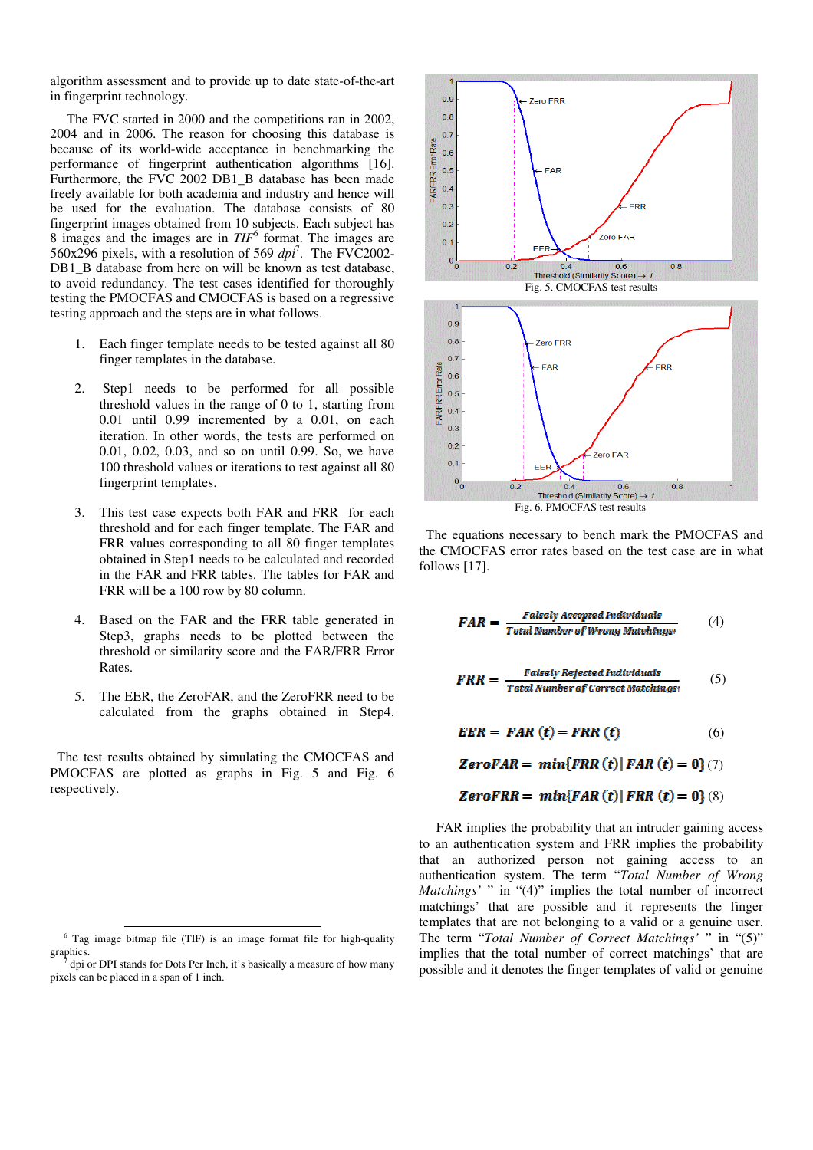algorithm assessment and to provide up to date state-of-the-art in fingerprint technology.

 The FVC started in 2000 and the competitions ran in 2002, 2004 and in 2006. The reason for choosing this database is because of its world-wide acceptance in benchmarking the performance of fingerprint authentication algorithms [16]. Furthermore, the FVC 2002 DB1\_B database has been made freely available for both academia and industry and hence will be used for the evaluation. The database consists of 80 fingerprint images obtained from 10 subjects. Each subject has 8 images and the images are in *TIF*<sup>6</sup> format. The images are 560x296 pixels, with a resolution of 569  $dpi^7$ . The FVC2002-DB1\_B database from here on will be known as test database, to avoid redundancy. The test cases identified for thoroughly testing the PMOCFAS and CMOCFAS is based on a regressive testing approach and the steps are in what follows.

- 1. Each finger template needs to be tested against all 80 finger templates in the database.
- 2. Step1 needs to be performed for all possible threshold values in the range of 0 to 1, starting from 0.01 until 0.99 incremented by a 0.01, on each iteration. In other words, the tests are performed on 0.01, 0.02, 0.03, and so on until 0.99. So, we have 100 threshold values or iterations to test against all 80 fingerprint templates.
- 3. This test case expects both FAR and FRR for each threshold and for each finger template. The FAR and FRR values corresponding to all 80 finger templates obtained in Step1 needs to be calculated and recorded in the FAR and FRR tables. The tables for FAR and FRR will be a 100 row by 80 column.
- 4. Based on the FAR and the FRR table generated in Step3, graphs needs to be plotted between the threshold or similarity score and the FAR/FRR Error Rates.
- 5. The EER, the ZeroFAR, and the ZeroFRR need to be calculated from the graphs obtained in Step4.

 The test results obtained by simulating the CMOCFAS and PMOCFAS are plotted as graphs in Fig. 5 and Fig. 6 respectively.

-



 The equations necessary to bench mark the PMOCFAS and the CMOCFAS error rates based on the test case are in what follows [17].

$$
FAR = \frac{Falsely \text{ accepted } individuals}{Total \text{ Number of \text{ Wrong } Matchings'}} \tag{4}
$$

$$
FRR = \frac{Falsely Rejected \, individuals}{Total \, Number \, of \, Correct \, Matchings} \tag{5}
$$

$$
EER = FAR(t) = FRR(t) \tag{6}
$$

Ĵ

**ZeroFAR** =  $min[FRR(t) | FAR(t) = 0]$ (7)

# **ZeroFRR** =  $min[FAR(t) | FRR(t) = 0]$  (8)

 FAR implies the probability that an intruder gaining access to an authentication system and FRR implies the probability that an authorized person not gaining access to an authentication system. The term "*Total Number of Wrong Matchings'* " in "(4)" implies the total number of incorrect matchings' that are possible and it represents the finger templates that are not belonging to a valid or a genuine user. The term "*Total Number of Correct Matchings'* " in "(5)" implies that the total number of correct matchings' that are possible and it denotes the finger templates of valid or genuine

<sup>&</sup>lt;sup>6</sup> Tag image bitmap file (TIF) is an image format file for high-quality graphics.

<sup>7</sup> dpi or DPI stands for Dots Per Inch, it's basically a measure of how many pixels can be placed in a span of 1 inch.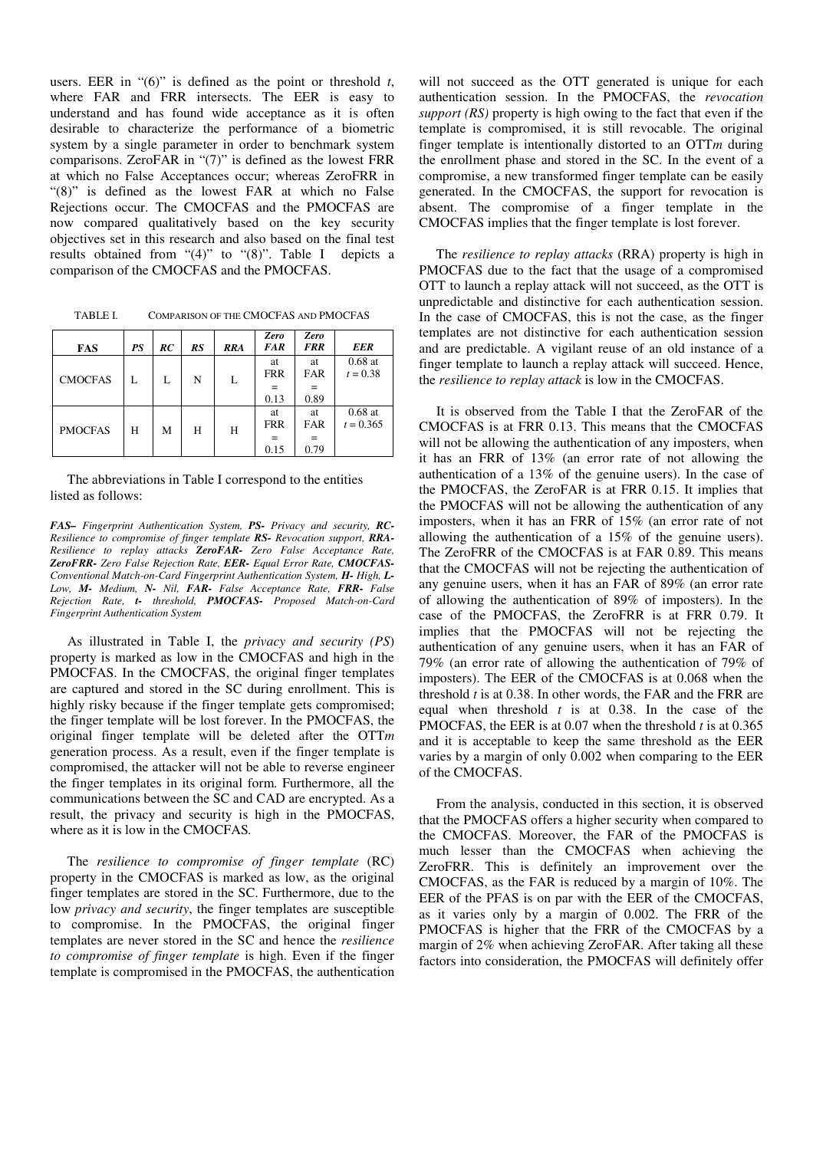users. EER in "(6)" is defined as the point or threshold *t*, where FAR and FRR intersects. The EER is easy to understand and has found wide acceptance as it is often desirable to characterize the performance of a biometric system by a single parameter in order to benchmark system comparisons. ZeroFAR in "(7)" is defined as the lowest FRR at which no False Acceptances occur; whereas ZeroFRR in "(8)" is defined as the lowest FAR at which no False Rejections occur. The CMOCFAS and the PMOCFAS are now compared qualitatively based on the key security objectives set in this research and also based on the final test results obtained from "(4)" to "(8)". Table I depicts a comparison of the CMOCFAS and the PMOCFAS.

| TABLE L | COMPARISON OF THE CMOCFAS AND PMOCFAS |
|---------|---------------------------------------|
|         |                                       |

| <b>FAS</b>     | PS | RC | <b>RS</b> | <b>RRA</b> | Zero<br><b>FAR</b>       | Zero<br>FRR                     | EER                      |
|----------------|----|----|-----------|------------|--------------------------|---------------------------------|--------------------------|
| <b>CMOCFAS</b> | L  | L  | N         | L          | at<br><b>FRR</b><br>0.13 | at<br><b>FAR</b><br>$=$<br>0.89 | $0.68$ at<br>$t = 0.38$  |
| <b>PMOCFAS</b> | Н  | М  | Н         | Н          | at<br><b>FRR</b><br>0.15 | at<br><b>FAR</b><br>$=$<br>0.79 | $0.68$ at<br>$t = 0.365$ |

 The abbreviations in Table I correspond to the entities listed as follows:

*FAS– Fingerprint Authentication System, PS- Privacy and security, RC-Resilience to compromise of finger template RS- Revocation support, RRA-Resilience to replay attacks ZeroFAR- Zero False Acceptance Rate, ZeroFRR- Zero False Rejection Rate, EER- Equal Error Rate, CMOCFAS-Conventional Match-on-Card Fingerprint Authentication System, H- High, L-Low, M- Medium, N- Nil, FAR- False Acceptance Rate, FRR- False Rejection Rate, t- threshold, PMOCFAS- Proposed Match-on-Card Fingerprint Authentication System* 

 As illustrated in Table I, the *privacy and security (PS*) property is marked as low in the CMOCFAS and high in the PMOCFAS. In the CMOCFAS, the original finger templates are captured and stored in the SC during enrollment. This is highly risky because if the finger template gets compromised; the finger template will be lost forever. In the PMOCFAS, the original finger template will be deleted after the OTT*m* generation process. As a result, even if the finger template is compromised, the attacker will not be able to reverse engineer the finger templates in its original form. Furthermore, all the communications between the SC and CAD are encrypted. As a result, the privacy and security is high in the PMOCFAS, where as it is low in the CMOCFAS*.* 

 The *resilience to compromise of finger template* (RC) property in the CMOCFAS is marked as low, as the original finger templates are stored in the SC. Furthermore, due to the low *privacy and security*, the finger templates are susceptible to compromise. In the PMOCFAS, the original finger templates are never stored in the SC and hence the *resilience to compromise of finger template* is high. Even if the finger template is compromised in the PMOCFAS, the authentication

will not succeed as the OTT generated is unique for each authentication session. In the PMOCFAS, the *revocation support (RS)* property is high owing to the fact that even if the template is compromised, it is still revocable. The original finger template is intentionally distorted to an OTT*m* during the enrollment phase and stored in the SC. In the event of a compromise, a new transformed finger template can be easily generated. In the CMOCFAS, the support for revocation is absent. The compromise of a finger template in the CMOCFAS implies that the finger template is lost forever.

 The *resilience to replay attacks* (RRA) property is high in PMOCFAS due to the fact that the usage of a compromised OTT to launch a replay attack will not succeed, as the OTT is unpredictable and distinctive for each authentication session. In the case of CMOCFAS, this is not the case, as the finger templates are not distinctive for each authentication session and are predictable. A vigilant reuse of an old instance of a finger template to launch a replay attack will succeed. Hence, the *resilience to replay attack* is low in the CMOCFAS.

 It is observed from the Table I that the ZeroFAR of the CMOCFAS is at FRR 0.13. This means that the CMOCFAS will not be allowing the authentication of any imposters, when it has an FRR of 13% (an error rate of not allowing the authentication of a 13% of the genuine users). In the case of the PMOCFAS, the ZeroFAR is at FRR 0.15. It implies that the PMOCFAS will not be allowing the authentication of any imposters, when it has an FRR of 15% (an error rate of not allowing the authentication of a 15% of the genuine users). The ZeroFRR of the CMOCFAS is at FAR 0.89. This means that the CMOCFAS will not be rejecting the authentication of any genuine users, when it has an FAR of 89% (an error rate of allowing the authentication of 89% of imposters). In the case of the PMOCFAS, the ZeroFRR is at FRR 0.79. It implies that the PMOCFAS will not be rejecting the authentication of any genuine users, when it has an FAR of 79% (an error rate of allowing the authentication of 79% of imposters). The EER of the CMOCFAS is at 0.068 when the threshold *t* is at 0.38. In other words, the FAR and the FRR are equal when threshold *t* is at 0.38. In the case of the PMOCFAS, the EER is at 0.07 when the threshold *t* is at 0.365 and it is acceptable to keep the same threshold as the EER varies by a margin of only 0.002 when comparing to the EER of the CMOCFAS.

 From the analysis, conducted in this section, it is observed that the PMOCFAS offers a higher security when compared to the CMOCFAS. Moreover, the FAR of the PMOCFAS is much lesser than the CMOCFAS when achieving the ZeroFRR. This is definitely an improvement over the CMOCFAS, as the FAR is reduced by a margin of 10%. The EER of the PFAS is on par with the EER of the CMOCFAS, as it varies only by a margin of 0.002. The FRR of the PMOCFAS is higher that the FRR of the CMOCFAS by a margin of 2% when achieving ZeroFAR. After taking all these factors into consideration, the PMOCFAS will definitely offer